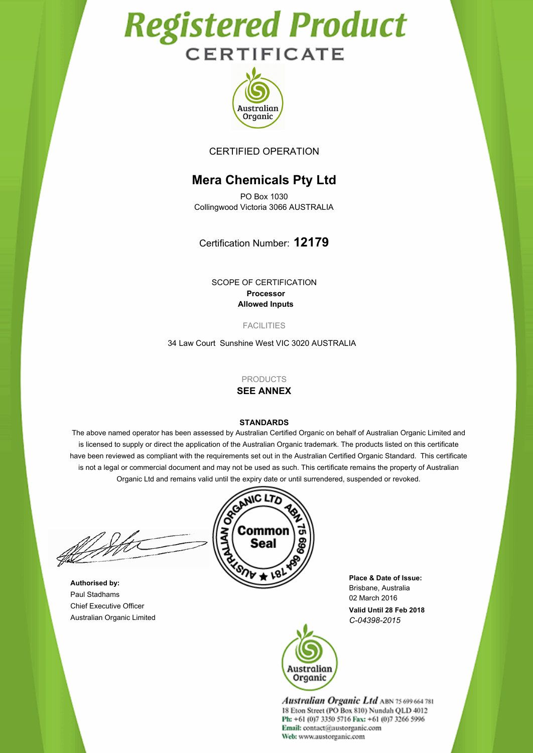# **Registered Product CERTIFICATE**



CERTIFIED OPERATION

# **Mera Chemicals Pty Ltd**

PO Box 1030 Collingwood Victoria 3066 AUSTRALIA

Certification Number: **12179**

SCOPE OF CERTIFICATION **Processor Allowed Inputs**

FACILITIES

34 Law Court Sunshine West VIC 3020 AUSTRALIA

PRODUCTS

## **SEE ANNEX**

#### **STANDARDS**

The above named operator has been assessed by Australian Certified Organic on behalf of Australian Organic Limited and is licensed to supply or direct the application of the Australian Organic trademark. The products listed on this certificate have been reviewed as compliant with the requirements set out in the Australian Certified Organic Standard. This certificate is not a legal or commercial document and may not be used as such. This certificate remains the property of Australian

**Authorised by:** Paul Stadhams Chief Executive Officer Australian Organic Limited



**Valid Until 28 Feb 2018 Place & Date of Issue:** Brisbane, Australia 02 March 2016 *C-04398-2015*



**Australian Organic Ltd ABN 75 699 664 781** 18 Eton Street (PO Box 810) Nundah QLD 4012 Ph: +61 (0)7 3350 5716 Fax: +61 (0)7 3266 5996 Email: contact@austorganic.com Web: www.austorganic.com